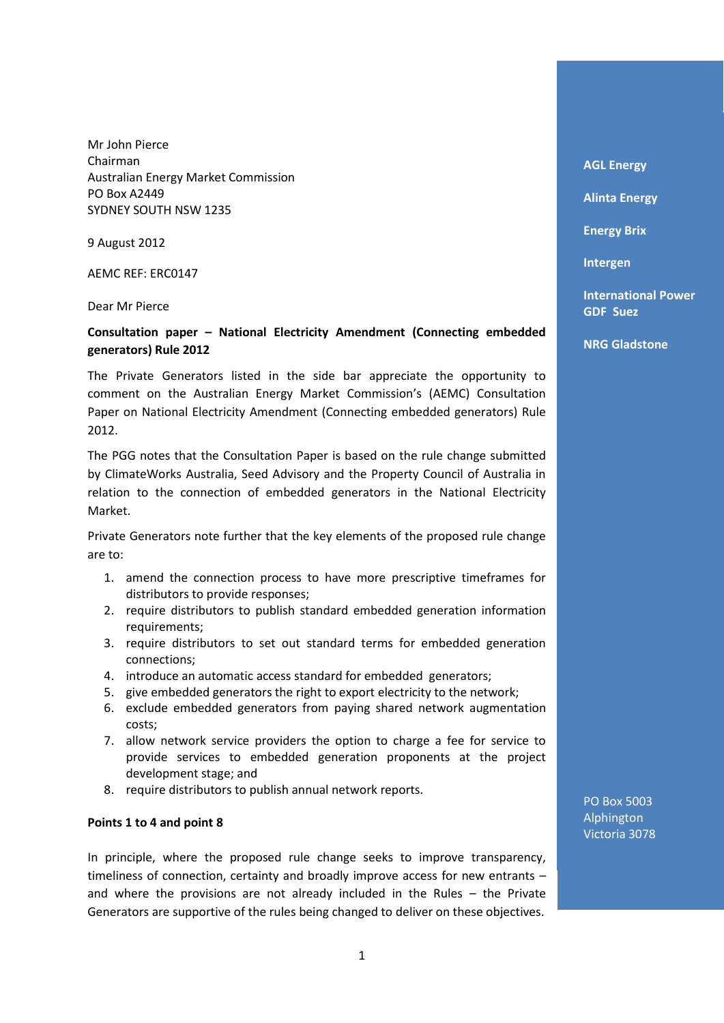Mr John Pierce Chairman Australian Energy Market Commission PO Box A2449 SYDNEY SOUTH NSW 1235

9 August 2012

AEMC REF: ERC0147

Dear Mr Pierce

# **Consultation paper – National Electricity Amendment (Connecting embedded generators) Rule 2012**

The Private Generators listed in the side bar appreciate the opportunity to comment on the Australian Energy Market Commission's (AEMC) Consultation Paper on National Electricity Amendment (Connecting embedded generators) Rule 2012.

The PGG notes that the Consultation Paper is based on the rule change submitted by ClimateWorks Australia, Seed Advisory and the Property Council of Australia in relation to the connection of embedded generators in the National Electricity Market.

Private Generators note further that the key elements of the proposed rule change are to:

- 1. amend the connection process to have more prescriptive timeframes for distributors to provide responses;
- 2. require distributors to publish standard embedded generation information requirements;
- 3. require distributors to set out standard terms for embedded generation connections;
- 4. introduce an automatic access standard for embedded generators;
- 5. give embedded generators the right to export electricity to the network;
- 6. exclude embedded generators from paying shared network augmentation costs;
- 7. allow network service providers the option to charge a fee for service to provide services to embedded generation proponents at the project development stage; and
- 8. require distributors to publish annual network reports.

### **Points 1 to 4 and point 8**

In principle, where the proposed rule change seeks to improve transparency, timeliness of connection, certainty and broadly improve access for new entrants – and where the provisions are not already included in the Rules – the Private Generators are supportive of the rules being changed to deliver on these objectives.

**AGL Energy** 

**Alinta Energy** 

**Energy Brix**

**Intergen** 

**International Power GDF Suez** 

**NRG Gladstone** 

PO Box 5003 Alphington Victoria 3078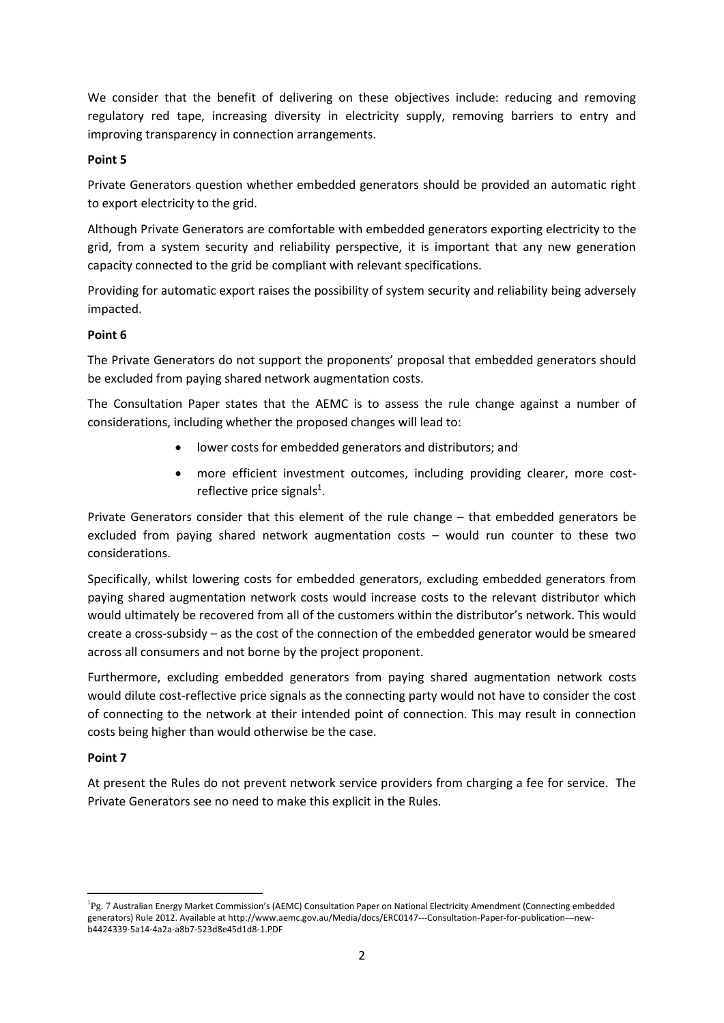We consider that the benefit of delivering on these objectives include: reducing and removing regulatory red tape, increasing diversity in electricity supply, removing barriers to entry and improving transparency in connection arrangements.

## **Point 5**

Private Generators question whether embedded generators should be provided an automatic right to export electricity to the grid.

Although Private Generators are comfortable with embedded generators exporting electricity to the grid, from a system security and reliability perspective, it is important that any new generation capacity connected to the grid be compliant with relevant specifications.

Providing for automatic export raises the possibility of system security and reliability being adversely impacted.

## **Point 6**

The Private Generators do not support the proponents' proposal that embedded generators should be excluded from paying shared network augmentation costs.

The Consultation Paper states that the AEMC is to assess the rule change against a number of considerations, including whether the proposed changes will lead to:

- lower costs for embedded generators and distributors; and
- more efficient investment outcomes, including providing clearer, more costreflective price signals<sup>1</sup>.

Private Generators consider that this element of the rule change – that embedded generators be excluded from paying shared network augmentation costs – would run counter to these two considerations.

Specifically, whilst lowering costs for embedded generators, excluding embedded generators from paying shared augmentation network costs would increase costs to the relevant distributor which would ultimately be recovered from all of the customers within the distributor's network. This would create a cross-subsidy – as the cost of the connection of the embedded generator would be smeared across all consumers and not borne by the project proponent.

Furthermore, excluding embedded generators from paying shared augmentation network costs would dilute cost-reflective price signals as the connecting party would not have to consider the cost of connecting to the network at their intended point of connection. This may result in connection costs being higher than would otherwise be the case.

# **Point 7**

1

At present the Rules do not prevent network service providers from charging a fee for service. The Private Generators see no need to make this explicit in the Rules.

<sup>&</sup>lt;sup>1</sup>Pg. 7 Australian Energy Market Commission's (AEMC) Consultation Paper on National Electricity Amendment (Connecting embedded generators) Rule 2012. Available at http://www.aemc.gov.au/Media/docs/ERC0147---Consultation-Paper-for-publication---newb4424339-5a14-4a2a-a8b7-523d8e45d1d8-1.PDF